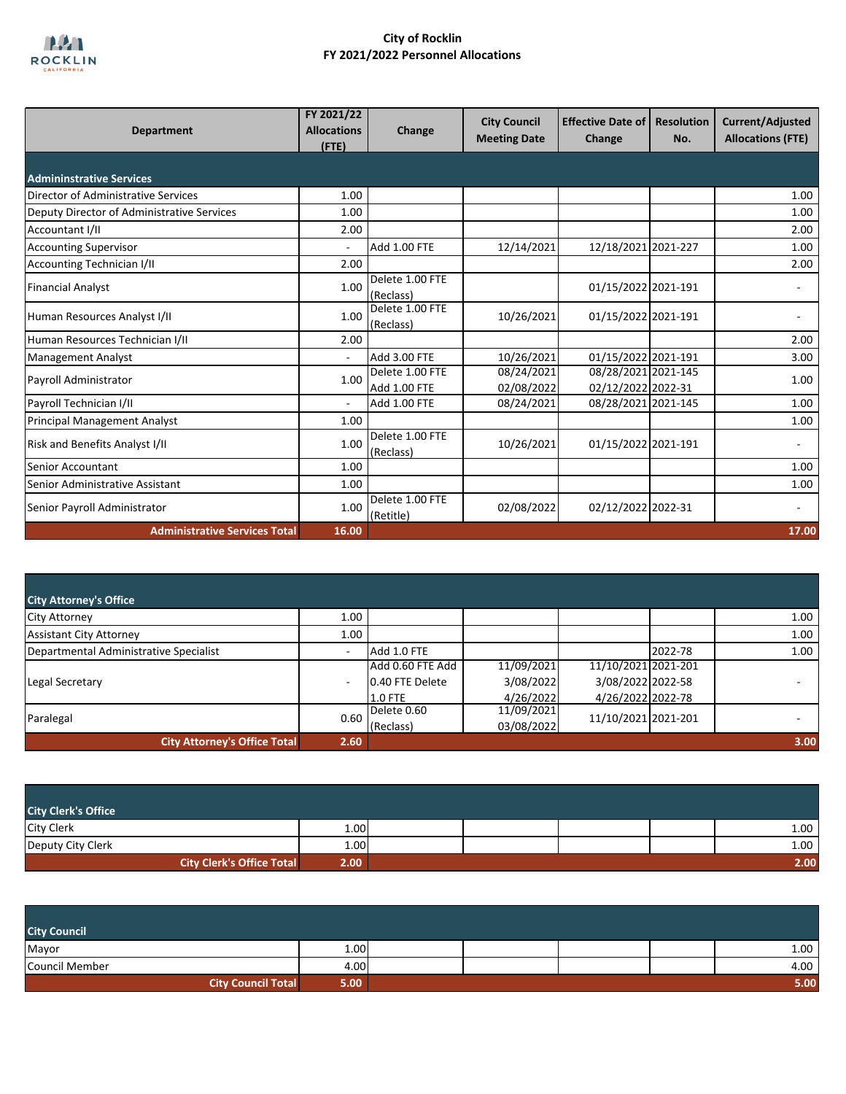

| <b>Department</b>                          | FY 2021/22<br><b>Allocations</b><br>$($ FTE $)$ | Change                                 | <b>City Council</b><br><b>Meeting Date</b> | <b>Effective Date of  </b><br>Change      | <b>Resolution</b><br>No. | <b>Current/Adjusted</b><br><b>Allocations (FTE)</b> |
|--------------------------------------------|-------------------------------------------------|----------------------------------------|--------------------------------------------|-------------------------------------------|--------------------------|-----------------------------------------------------|
| <b>Admininstrative Services</b>            |                                                 |                                        |                                            |                                           |                          |                                                     |
| Director of Administrative Services        | 1.00                                            |                                        |                                            |                                           |                          | 1.00                                                |
| Deputy Director of Administrative Services | 1.00                                            |                                        |                                            |                                           |                          | 1.00                                                |
| Accountant I/II                            | 2.00                                            |                                        |                                            |                                           |                          | 2.00                                                |
| <b>Accounting Supervisor</b>               | ÷,                                              | <b>Add 1.00 FTE</b>                    | 12/14/2021                                 | 12/18/2021 2021-227                       |                          | 1.00                                                |
| Accounting Technician I/II                 | 2.00                                            |                                        |                                            |                                           |                          | 2.00                                                |
| <b>Financial Analyst</b>                   | 1.00                                            | Delete 1.00 FTE<br>(Reclass)           |                                            | 01/15/2022 2021-191                       |                          |                                                     |
| Human Resources Analyst I/II               | 1.00                                            | Delete 1.00 FTE<br>(Reclass)           | 10/26/2021                                 | 01/15/2022 2021-191                       |                          |                                                     |
| Human Resources Technician I/II            | 2.00                                            |                                        |                                            |                                           |                          | 2.00                                                |
| <b>Management Analyst</b>                  | ٠                                               | <b>Add 3.00 FTE</b>                    | 10/26/2021                                 | 01/15/2022 2021-191                       |                          | 3.00                                                |
| Payroll Administrator                      | 1.00                                            | Delete 1.00 FTE<br><b>Add 1.00 FTE</b> | 08/24/2021<br>02/08/2022                   | 08/28/2021 2021-145<br>02/12/2022 2022-31 |                          | 1.00                                                |
| Payroll Technician I/II                    | $\sim$                                          | Add 1.00 FTE                           | 08/24/2021                                 | 08/28/2021 2021-145                       |                          | 1.00                                                |
| <b>Principal Management Analyst</b>        | 1.00                                            |                                        |                                            |                                           |                          | 1.00                                                |
| Risk and Benefits Analyst I/II             | 1.00                                            | Delete 1.00 FTE<br>(Reclass)           | 10/26/2021                                 | 01/15/2022 2021-191                       |                          |                                                     |
| <b>Senior Accountant</b>                   | 1.00                                            |                                        |                                            |                                           |                          | 1.00                                                |
| Senior Administrative Assistant            | 1.00                                            |                                        |                                            |                                           |                          | 1.00                                                |
| Senior Payroll Administrator               | 1.00                                            | Delete 1.00 FTE<br>(Retitle)           | 02/08/2022                                 | 02/12/2022 2022-31                        |                          |                                                     |
| <b>Administrative Services Total</b>       | 16.00                                           |                                        |                                            |                                           |                          | 17.00                                               |

| <b>City Attorney's Office</b>          |                          |                  |            |                     |         |      |
|----------------------------------------|--------------------------|------------------|------------|---------------------|---------|------|
| <b>City Attorney</b>                   | 1.00                     |                  |            |                     |         | 1.00 |
| <b>Assistant City Attorney</b>         | 1.00                     |                  |            |                     |         | 1.00 |
| Departmental Administrative Specialist | $\overline{\phantom{a}}$ | Add 1.0 FTE      |            |                     | 2022-78 | 1.00 |
|                                        |                          | Add 0.60 FTE Add | 11/09/2021 | 11/10/2021 2021-201 |         |      |
| Legal Secretary                        | $\overline{\phantom{a}}$ | 0.40 FTE Delete  | 3/08/2022  | 3/08/2022 2022-58   |         |      |
|                                        |                          | $1.0$ FTE        | 4/26/2022  | 4/26/2022 2022-78   |         |      |
|                                        | 0.60                     | Delete 0.60      | 11/09/2021 | 11/10/2021 2021-201 |         |      |
| Paralegal                              |                          | (Reclass)        | 03/08/2022 |                     |         |      |
| <b>City Attorney's Office Total</b>    | 2.60                     |                  |            |                     |         | 3.00 |

| <b>City Clerk's Office</b>       |      |  |  |                   |
|----------------------------------|------|--|--|-------------------|
| <b>City Clerk</b>                | 1.00 |  |  | 1.00 <sub>1</sub> |
| Deputy City Clerk                | 1.00 |  |  | 1.00 <sub>1</sub> |
| <b>City Clerk's Office Total</b> | 2.00 |  |  | 2.00              |

| <b>City Council</b>       |      |  |  |      |
|---------------------------|------|--|--|------|
| Mayor                     | 1.00 |  |  | 1.00 |
| <b>Council Member</b>     | 4.00 |  |  | 4.00 |
| <b>City Council Total</b> | 5.00 |  |  | 5.00 |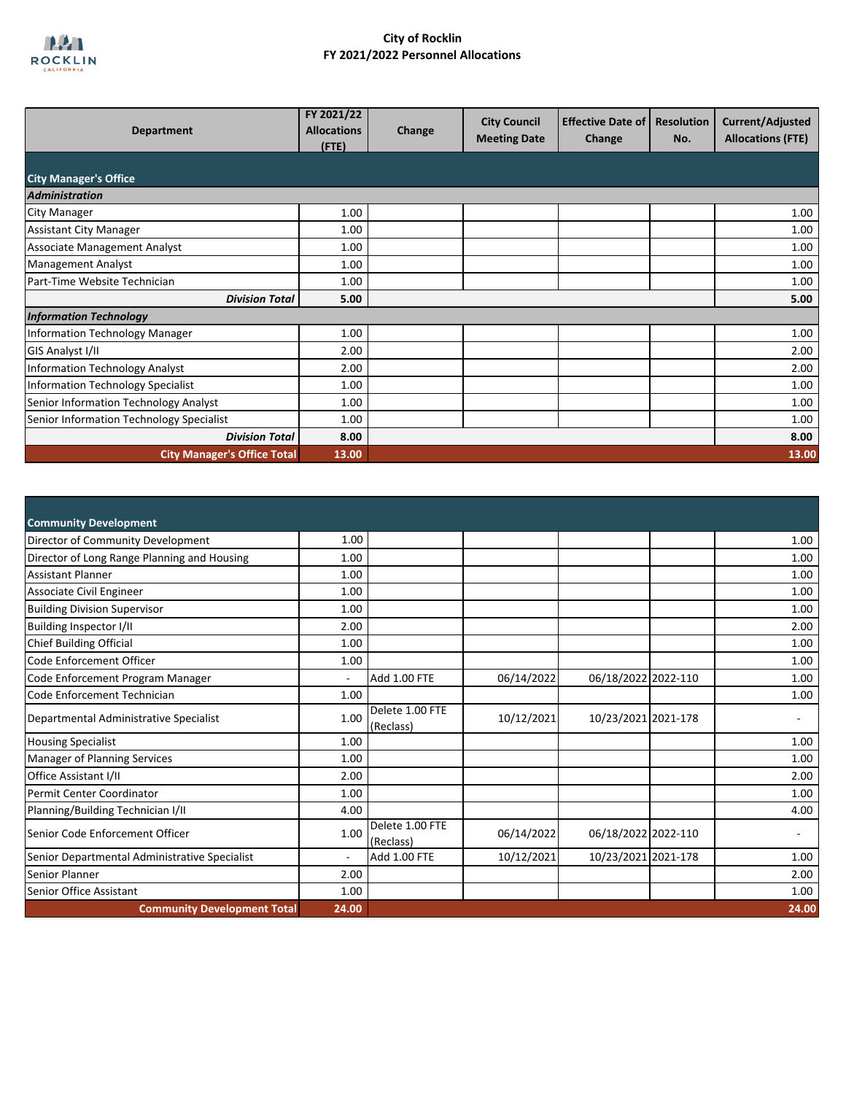

| <b>Department</b>                        | FY 2021/22<br><b>Allocations</b><br>$($ FTE) | Change | <b>City Council</b><br><b>Meeting Date</b> | <b>Effective Date of</b><br>Change | <b>Resolution</b><br>No. | Current/Adjusted<br><b>Allocations (FTE)</b> |
|------------------------------------------|----------------------------------------------|--------|--------------------------------------------|------------------------------------|--------------------------|----------------------------------------------|
| <b>City Manager's Office</b>             |                                              |        |                                            |                                    |                          |                                              |
| <b>Administration</b>                    |                                              |        |                                            |                                    |                          |                                              |
| <b>City Manager</b>                      | 1.00                                         |        |                                            |                                    |                          | 1.00                                         |
| <b>Assistant City Manager</b>            | 1.00                                         |        |                                            |                                    |                          | 1.00                                         |
| <b>Associate Management Analyst</b>      | 1.00                                         |        |                                            |                                    |                          | 1.00                                         |
| <b>Management Analyst</b>                | 1.00                                         |        |                                            |                                    |                          | 1.00                                         |
| Part-Time Website Technician             | 1.00                                         |        |                                            |                                    |                          | 1.00                                         |
| <b>Division Total</b>                    | 5.00                                         |        |                                            |                                    |                          | 5.00                                         |
| <b>Information Technology</b>            |                                              |        |                                            |                                    |                          |                                              |
| <b>Information Technology Manager</b>    | 1.00                                         |        |                                            |                                    |                          | 1.00                                         |
| GIS Analyst I/II                         | 2.00                                         |        |                                            |                                    |                          | 2.00                                         |
| <b>Information Technology Analyst</b>    | 2.00                                         |        |                                            |                                    |                          | 2.00                                         |
| Information Technology Specialist        | 1.00                                         |        |                                            |                                    |                          | 1.00                                         |
| Senior Information Technology Analyst    | 1.00                                         |        |                                            |                                    |                          | 1.00                                         |
| Senior Information Technology Specialist | 1.00                                         |        |                                            |                                    |                          | 1.00                                         |
| <b>Division Total</b>                    | 8.00                                         |        |                                            |                                    |                          | 8.00                                         |
| <b>City Manager's Office Total</b>       | 13.00                                        |        |                                            |                                    |                          | 13.00                                        |

| <b>Community Development</b>                  |                          |                              |            |                     |       |
|-----------------------------------------------|--------------------------|------------------------------|------------|---------------------|-------|
| Director of Community Development             | 1.00                     |                              |            |                     | 1.00  |
| Director of Long Range Planning and Housing   | 1.00                     |                              |            |                     | 1.00  |
| <b>Assistant Planner</b>                      | 1.00                     |                              |            |                     | 1.00  |
| Associate Civil Engineer                      | 1.00                     |                              |            |                     | 1.00  |
| <b>Building Division Supervisor</b>           | 1.00                     |                              |            |                     | 1.00  |
| Building Inspector I/II                       | 2.00                     |                              |            |                     | 2.00  |
| <b>Chief Building Official</b>                | 1.00                     |                              |            |                     | 1.00  |
| Code Enforcement Officer                      | 1.00                     |                              |            |                     | 1.00  |
| Code Enforcement Program Manager              | $\overline{a}$           | <b>Add 1.00 FTE</b>          | 06/14/2022 | 06/18/2022 2022-110 | 1.00  |
| Code Enforcement Technician                   | 1.00                     |                              |            |                     | 1.00  |
| Departmental Administrative Specialist        | 1.00                     | Delete 1.00 FTE<br>(Reclass) | 10/12/2021 | 10/23/2021 2021-178 |       |
| <b>Housing Specialist</b>                     | 1.00                     |                              |            |                     | 1.00  |
| Manager of Planning Services                  | 1.00                     |                              |            |                     | 1.00  |
| Office Assistant I/II                         | 2.00                     |                              |            |                     | 2.00  |
| Permit Center Coordinator                     | 1.00                     |                              |            |                     | 1.00  |
| Planning/Building Technician I/II             | 4.00                     |                              |            |                     | 4.00  |
| Senior Code Enforcement Officer               | 1.00                     | Delete 1.00 FTE<br>(Reclass) | 06/14/2022 | 06/18/2022 2022-110 |       |
| Senior Departmental Administrative Specialist | $\overline{\phantom{a}}$ | <b>Add 1.00 FTE</b>          | 10/12/2021 | 10/23/2021 2021-178 | 1.00  |
| Senior Planner                                | 2.00                     |                              |            |                     | 2.00  |
| Senior Office Assistant                       | 1.00                     |                              |            |                     | 1.00  |
| <b>Community Development Total</b>            | 24.00                    |                              |            |                     | 24.00 |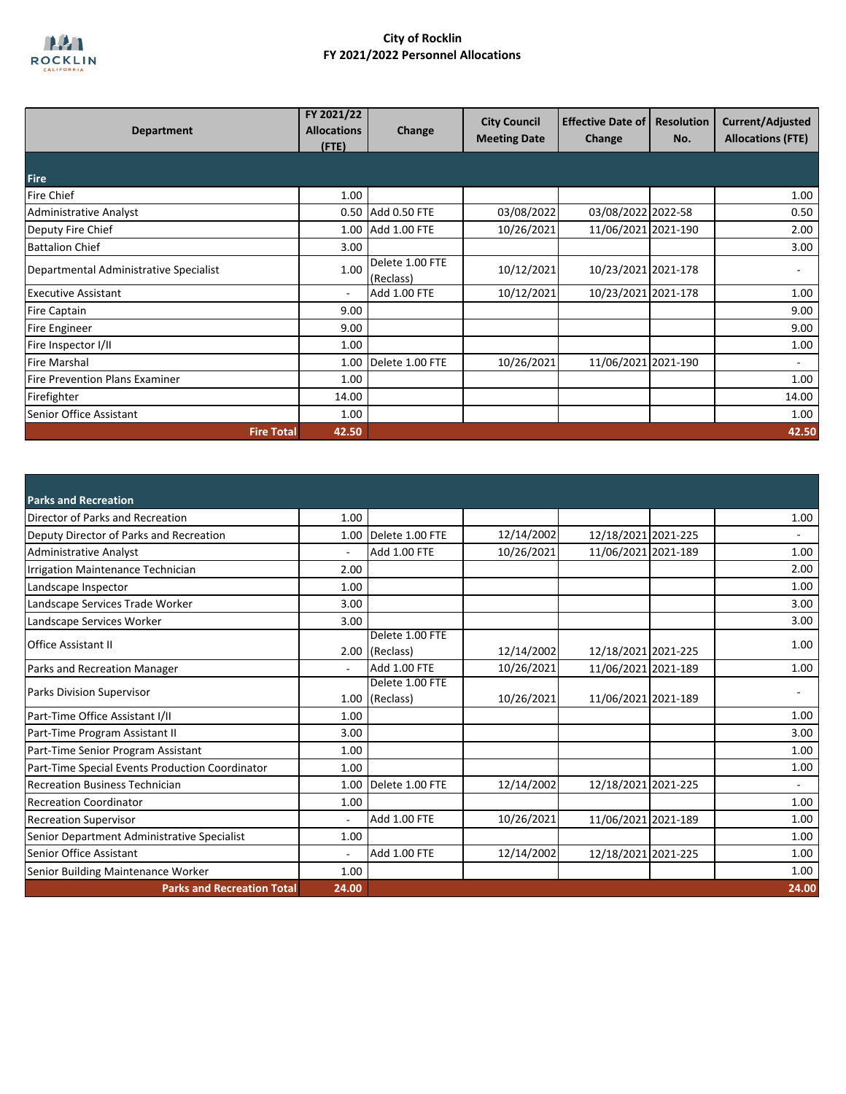

| <b>Department</b>                      | FY 2021/22<br><b>Allocations</b><br>(FTE) | Change                       | <b>City Council</b><br><b>Meeting Date</b> | <b>Effective Date of</b><br>Change | <b>Resolution</b><br>No. | Current/Adjusted<br><b>Allocations (FTE)</b> |
|----------------------------------------|-------------------------------------------|------------------------------|--------------------------------------------|------------------------------------|--------------------------|----------------------------------------------|
| <b>Fire</b>                            |                                           |                              |                                            |                                    |                          |                                              |
| <b>Fire Chief</b>                      | 1.00                                      |                              |                                            |                                    |                          | 1.00                                         |
| <b>Administrative Analyst</b>          |                                           | 0.50 Add 0.50 FTE            | 03/08/2022                                 | 03/08/2022 2022-58                 |                          | 0.50                                         |
| Deputy Fire Chief                      | 1.00                                      | <b>Add 1.00 FTE</b>          | 10/26/2021                                 | 11/06/2021 2021-190                |                          | 2.00                                         |
| <b>Battalion Chief</b>                 | 3.00                                      |                              |                                            |                                    |                          | 3.00                                         |
| Departmental Administrative Specialist | 1.00                                      | Delete 1.00 FTE<br>(Reclass) | 10/12/2021                                 | 10/23/2021 2021-178                |                          |                                              |
| <b>Executive Assistant</b>             | ٠                                         | <b>Add 1.00 FTE</b>          | 10/12/2021                                 | 10/23/2021 2021-178                |                          | 1.00                                         |
| <b>Fire Captain</b>                    | 9.00                                      |                              |                                            |                                    |                          | 9.00                                         |
| <b>Fire Engineer</b>                   | 9.00                                      |                              |                                            |                                    |                          | 9.00                                         |
| Fire Inspector I/II                    | 1.00                                      |                              |                                            |                                    |                          | 1.00                                         |
| <b>Fire Marshal</b>                    | 1.00                                      | Delete 1.00 FTE              | 10/26/2021                                 | 11/06/2021 2021-190                |                          |                                              |
| Fire Prevention Plans Examiner         | 1.00                                      |                              |                                            |                                    |                          | 1.00                                         |
| Firefighter                            | 14.00                                     |                              |                                            |                                    |                          | 14.00                                        |
| Senior Office Assistant                | 1.00                                      |                              |                                            |                                    |                          | 1.00                                         |
| <b>Fire Total</b>                      | 42.50                                     |                              |                                            |                                    |                          | 42.50                                        |

| <b>Parks and Recreation</b>                     |                          |                                   |            |                     |       |
|-------------------------------------------------|--------------------------|-----------------------------------|------------|---------------------|-------|
| Director of Parks and Recreation                | 1.00                     |                                   |            |                     | 1.00  |
| Deputy Director of Parks and Recreation         | 1.00                     | Delete 1.00 FTE                   | 12/14/2002 | 12/18/2021 2021-225 |       |
| <b>Administrative Analyst</b>                   | ÷                        | Add 1.00 FTE                      | 10/26/2021 | 11/06/2021 2021-189 | 1.00  |
| Irrigation Maintenance Technician               | 2.00                     |                                   |            |                     | 2.00  |
| Landscape Inspector                             | 1.00                     |                                   |            |                     | 1.00  |
| Landscape Services Trade Worker                 | 3.00                     |                                   |            |                     | 3.00  |
| Landscape Services Worker                       | 3.00                     |                                   |            |                     | 3.00  |
| <b>Office Assistant II</b>                      |                          | Delete 1.00 FTE<br>2.00 (Reclass) | 12/14/2002 | 12/18/2021 2021-225 | 1.00  |
| Parks and Recreation Manager                    |                          | <b>Add 1.00 FTE</b>               | 10/26/2021 | 11/06/2021 2021-189 | 1.00  |
| <b>Parks Division Supervisor</b>                |                          | Delete 1.00 FTE<br>1.00 (Reclass) | 10/26/2021 | 11/06/2021 2021-189 |       |
| Part-Time Office Assistant I/II                 | 1.00                     |                                   |            |                     | 1.00  |
| Part-Time Program Assistant II                  | 3.00                     |                                   |            |                     | 3.00  |
| Part-Time Senior Program Assistant              | 1.00                     |                                   |            |                     | 1.00  |
| Part-Time Special Events Production Coordinator | 1.00                     |                                   |            |                     | 1.00  |
| <b>Recreation Business Technician</b>           | 1.00                     | Delete 1.00 FTE                   | 12/14/2002 | 12/18/2021 2021-225 |       |
| <b>Recreation Coordinator</b>                   | 1.00                     |                                   |            |                     | 1.00  |
| <b>Recreation Supervisor</b>                    | $\overline{\phantom{a}}$ | Add 1.00 FTE                      | 10/26/2021 | 11/06/2021 2021-189 | 1.00  |
| Senior Department Administrative Specialist     | 1.00                     |                                   |            |                     | 1.00  |
| Senior Office Assistant                         | $\overline{\phantom{a}}$ | <b>Add 1.00 FTE</b>               | 12/14/2002 | 12/18/2021 2021-225 | 1.00  |
| Senior Building Maintenance Worker              | 1.00                     |                                   |            |                     | 1.00  |
| <b>Parks and Recreation Total</b>               | 24.00                    |                                   |            |                     | 24.00 |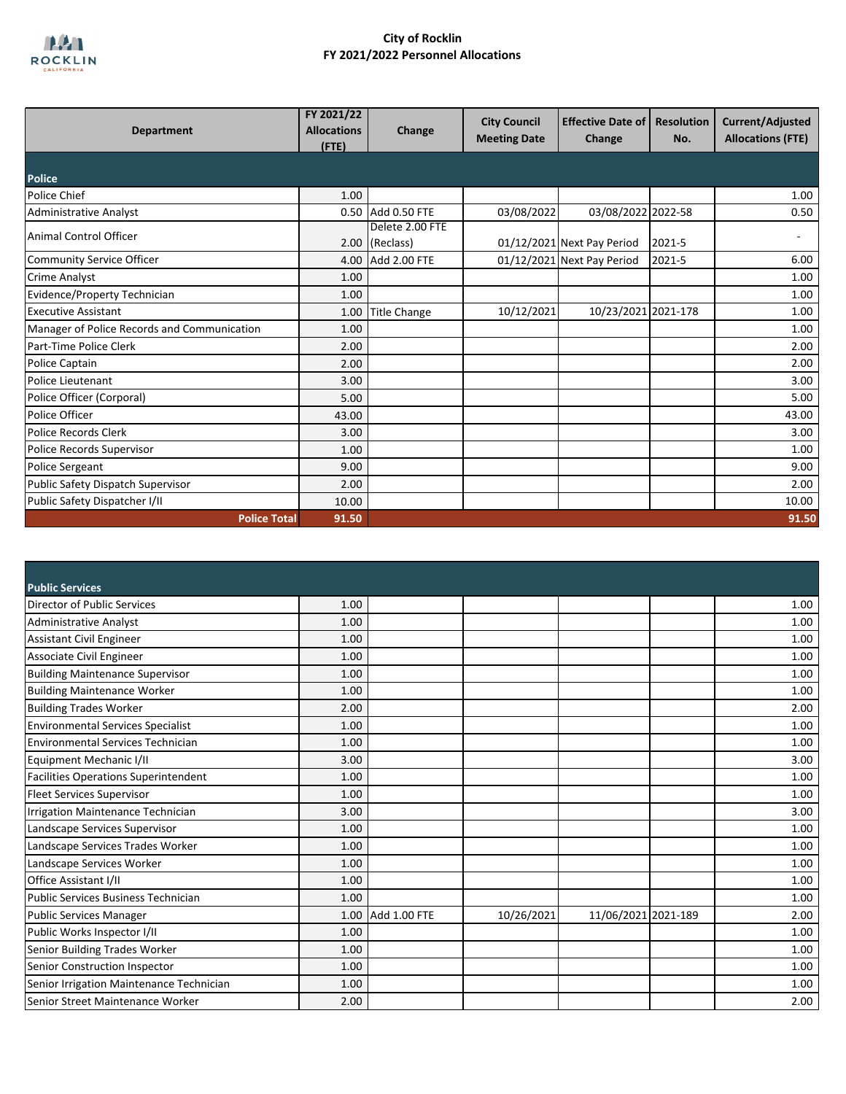

| <b>Department</b>                           | FY 2021/22<br><b>Allocations</b><br>$($ FTE $)$ | Change                            | <b>City Council</b><br><b>Meeting Date</b> | <b>Effective Date of</b><br>Change | <b>Resolution</b><br>No. | Current/Adjusted<br><b>Allocations (FTE)</b> |
|---------------------------------------------|-------------------------------------------------|-----------------------------------|--------------------------------------------|------------------------------------|--------------------------|----------------------------------------------|
| <b>Police</b>                               |                                                 |                                   |                                            |                                    |                          |                                              |
| <b>Police Chief</b>                         | 1.00                                            |                                   |                                            |                                    |                          | 1.00                                         |
| <b>Administrative Analyst</b>               |                                                 | 0.50 Add 0.50 FTE                 | 03/08/2022                                 | 03/08/2022 2022-58                 |                          | 0.50                                         |
| Animal Control Officer                      |                                                 | Delete 2.00 FTE<br>2.00 (Reclass) |                                            | 01/12/2021 Next Pay Period         | 2021-5                   |                                              |
| Community Service Officer                   |                                                 | 4.00 Add 2.00 FTE                 |                                            | 01/12/2021 Next Pay Period         | 2021-5                   | 6.00                                         |
| <b>Crime Analyst</b>                        | 1.00                                            |                                   |                                            |                                    |                          | 1.00                                         |
| <b>Evidence/Property Technician</b>         | 1.00                                            |                                   |                                            |                                    |                          | 1.00                                         |
| <b>Executive Assistant</b>                  | 1.00                                            | <b>Title Change</b>               | 10/12/2021                                 | 10/23/2021 2021-178                |                          | 1.00                                         |
| Manager of Police Records and Communication | 1.00                                            |                                   |                                            |                                    |                          | 1.00                                         |
| Part-Time Police Clerk                      | 2.00                                            |                                   |                                            |                                    |                          | 2.00                                         |
| Police Captain                              | 2.00                                            |                                   |                                            |                                    |                          | 2.00                                         |
| Police Lieutenant                           | 3.00                                            |                                   |                                            |                                    |                          | 3.00                                         |
| Police Officer (Corporal)                   | 5.00                                            |                                   |                                            |                                    |                          | 5.00                                         |
| Police Officer                              | 43.00                                           |                                   |                                            |                                    |                          | 43.00                                        |
| Police Records Clerk                        | 3.00                                            |                                   |                                            |                                    |                          | 3.00                                         |
| Police Records Supervisor                   | 1.00                                            |                                   |                                            |                                    |                          | 1.00                                         |
| <b>Police Sergeant</b>                      | 9.00                                            |                                   |                                            |                                    |                          | 9.00                                         |
| Public Safety Dispatch Supervisor           | 2.00                                            |                                   |                                            |                                    |                          | 2.00                                         |
| Public Safety Dispatcher I/II               | 10.00                                           |                                   |                                            |                                    |                          | 10.00                                        |
| <b>Police Total</b>                         | 91.50                                           |                                   |                                            |                                    |                          | 91.50                                        |

| <b>Public Services</b>                      |      |                   |            |                     |      |
|---------------------------------------------|------|-------------------|------------|---------------------|------|
| Director of Public Services                 | 1.00 |                   |            |                     | 1.00 |
| <b>Administrative Analyst</b>               | 1.00 |                   |            |                     | 1.00 |
| <b>Assistant Civil Engineer</b>             | 1.00 |                   |            |                     | 1.00 |
| Associate Civil Engineer                    | 1.00 |                   |            |                     | 1.00 |
| <b>Building Maintenance Supervisor</b>      | 1.00 |                   |            |                     | 1.00 |
| <b>Building Maintenance Worker</b>          | 1.00 |                   |            |                     | 1.00 |
| <b>Building Trades Worker</b>               | 2.00 |                   |            |                     | 2.00 |
| <b>Environmental Services Specialist</b>    | 1.00 |                   |            |                     | 1.00 |
| <b>Environmental Services Technician</b>    | 1.00 |                   |            |                     | 1.00 |
| Equipment Mechanic I/II                     | 3.00 |                   |            |                     | 3.00 |
| <b>Facilities Operations Superintendent</b> | 1.00 |                   |            |                     | 1.00 |
| <b>Fleet Services Supervisor</b>            | 1.00 |                   |            |                     | 1.00 |
| Irrigation Maintenance Technician           | 3.00 |                   |            |                     | 3.00 |
| Landscape Services Supervisor               | 1.00 |                   |            |                     | 1.00 |
| Landscape Services Trades Worker            | 1.00 |                   |            |                     | 1.00 |
| Landscape Services Worker                   | 1.00 |                   |            |                     | 1.00 |
| Office Assistant I/II                       | 1.00 |                   |            |                     | 1.00 |
| <b>Public Services Business Technician</b>  | 1.00 |                   |            |                     | 1.00 |
| <b>Public Services Manager</b>              |      | 1.00 Add 1.00 FTE | 10/26/2021 | 11/06/2021 2021-189 | 2.00 |
| Public Works Inspector I/II                 | 1.00 |                   |            |                     | 1.00 |
| Senior Building Trades Worker               | 1.00 |                   |            |                     | 1.00 |
| Senior Construction Inspector               | 1.00 |                   |            |                     | 1.00 |
| Senior Irrigation Maintenance Technician    | 1.00 |                   |            |                     | 1.00 |
| Senior Street Maintenance Worker            | 2.00 |                   |            |                     | 2.00 |